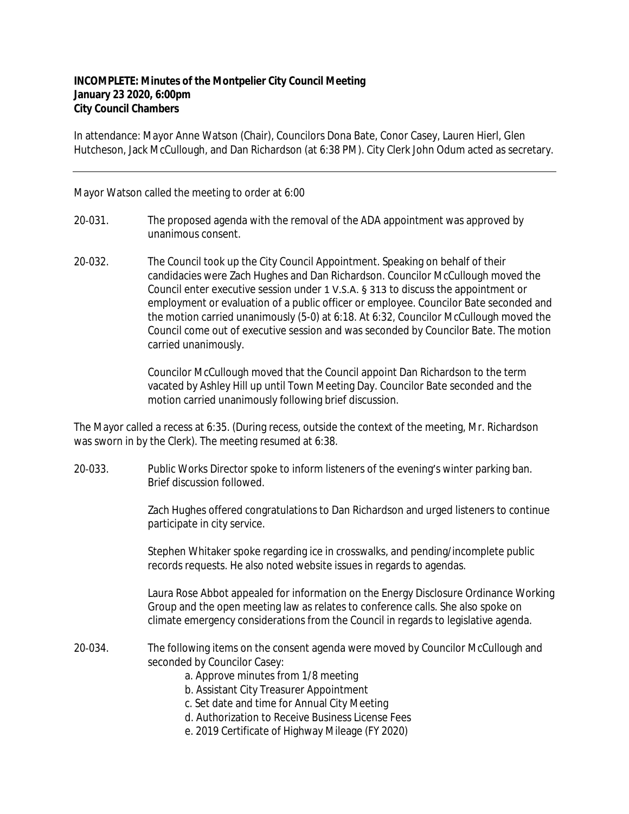## **INCOMPLETE: Minutes of the Montpelier City Council Meeting January 23 2020, 6:00pm City Council Chambers**

In attendance: Mayor Anne Watson (Chair), Councilors Dona Bate, Conor Casey, Lauren Hierl, Glen Hutcheson, Jack McCullough, and Dan Richardson (at 6:38 PM). City Clerk John Odum acted as secretary.

## Mayor Watson called the meeting to order at 6:00

- 20‐031. The proposed agenda with the removal of the ADA appointment was approved by unanimous consent.
- 20‐032. The Council took up the City Council Appointment. Speaking on behalf of their candidacies were Zach Hughes and Dan Richardson. Councilor McCullough moved the Council enter executive session under 1 V.S.A. § 313 to discuss the appointment or employment or evaluation of a public officer or employee. Councilor Bate seconded and the motion carried unanimously (5-0) at 6:18. At 6:32, Councilor McCullough moved the Council come out of executive session and was seconded by Councilor Bate. The motion carried unanimously.

Councilor McCullough moved that the Council appoint Dan Richardson to the term vacated by Ashley Hill up until Town Meeting Day. Councilor Bate seconded and the motion carried unanimously following brief discussion.

The Mayor called a recess at 6:35. (During recess, outside the context of the meeting, Mr. Richardson was sworn in by the Clerk). The meeting resumed at 6:38.

20‐033. Public Works Director spoke to inform listeners of the evening's winter parking ban. Brief discussion followed.

> Zach Hughes offered congratulations to Dan Richardson and urged listeners to continue participate in city service.

Stephen Whitaker spoke regarding ice in crosswalks, and pending/incomplete public records requests. He also noted website issues in regards to agendas.

Laura Rose Abbot appealed for information on the Energy Disclosure Ordinance Working Group and the open meeting law as relates to conference calls. She also spoke on climate emergency considerations from the Council in regards to legislative agenda.

- 20‐034. The following items on the consent agenda were moved by Councilor McCullough and seconded by Councilor Casey:
	- a. Approve minutes from 1/8 meeting
	- b. Assistant City Treasurer Appointment
	- c. Set date and time for Annual City Meeting
	- d. Authorization to Receive Business License Fees
	- e. 2019 Certificate of Highway Mileage (FY 2020)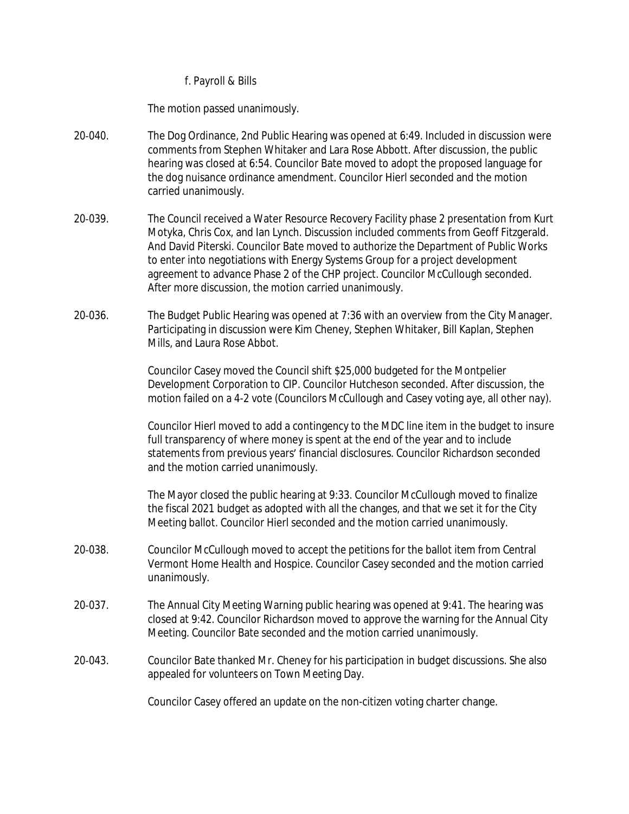## f. Payroll & Bills

The motion passed unanimously.

- 20‐040. The Dog Ordinance, 2nd Public Hearing was opened at 6:49. Included in discussion were comments from Stephen Whitaker and Lara Rose Abbott. After discussion, the public hearing was closed at 6:54. Councilor Bate moved to adopt the proposed language for the dog nuisance ordinance amendment. Councilor Hierl seconded and the motion carried unanimously.
- 20‐039. The Council received a Water Resource Recovery Facility phase 2 presentation from Kurt Motyka, Chris Cox, and Ian Lynch. Discussion included comments from Geoff Fitzgerald. And David Piterski. Councilor Bate moved to authorize the Department of Public Works to enter into negotiations with Energy Systems Group for a project development agreement to advance Phase 2 of the CHP project. Councilor McCullough seconded. After more discussion, the motion carried unanimously.
- 20‐036. The Budget Public Hearing was opened at 7:36 with an overview from the City Manager. Participating in discussion were Kim Cheney, Stephen Whitaker, Bill Kaplan, Stephen Mills, and Laura Rose Abbot.

Councilor Casey moved the Council shift \$25,000 budgeted for the Montpelier Development Corporation to CIP. Councilor Hutcheson seconded. After discussion, the motion failed on a 4-2 vote (Councilors McCullough and Casey voting aye, all other nay).

Councilor Hierl moved to add a contingency to the MDC line item in the budget to insure full transparency of where money is spent at the end of the year and to include statements from previous years' financial disclosures. Councilor Richardson seconded and the motion carried unanimously.

The Mayor closed the public hearing at 9:33. Councilor McCullough moved to finalize the fiscal 2021 budget as adopted with all the changes, and that we set it for the City Meeting ballot. Councilor Hierl seconded and the motion carried unanimously.

- 20‐038. Councilor McCullough moved to accept the petitions for the ballot item from Central Vermont Home Health and Hospice. Councilor Casey seconded and the motion carried unanimously.
- 20‐037. The Annual City Meeting Warning public hearing was opened at 9:41. The hearing was closed at 9:42. Councilor Richardson moved to approve the warning for the Annual City Meeting. Councilor Bate seconded and the motion carried unanimously.
- 20-043. Councilor Bate thanked Mr. Cheney for his participation in budget discussions. She also appealed for volunteers on Town Meeting Day.

Councilor Casey offered an update on the non-citizen voting charter change.